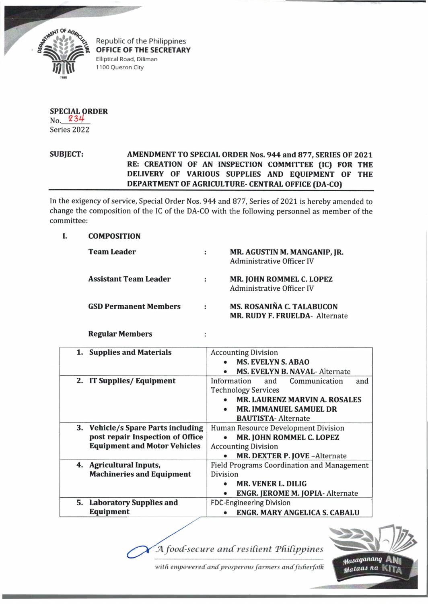

*£* **5\*%Vj£^6\* Republic of the Philippines OFFICE OF THE SECRETAR OFFICE OF THE SECRETARY Elliptical Road, Diliman 1100 Quezon City**

| SPECIAL ORDER<br><sub>No.</sub> 234 |
|-------------------------------------|
| Series 2022                         |

**SUBJECT: AMENDMENT TO SPECIAL ORDER Nos. 944 and 877, SERIES OF 2021 RE: CREATION OF AN INSPECTION COMMITTEE (IC) FOR THE DELIVERY OF VARIOUS SUPPLIES AND EQUIPMENT OF THE** DEPARTMENT OF AGRICULTURE- CENTRAL OFFICE (DA-CO)

In the exigency of service, Special Order Nos. 944 and 877, Series of 2021 is hereby amended to change the composition of the IC of the DA-CO with the following personnel as member of the committee:

## L **COMPOSITION**

| <b>Team Leader</b>           | ÷  | MR. AGUSTIN M. MANGANIP, JR.<br><b>Administrative Officer IV</b>          |
|------------------------------|----|---------------------------------------------------------------------------|
| <b>Assistant Team Leader</b> | ÷  | <b>MR. JOHN ROMMEL C. LOPEZ</b><br><b>Administrative Officer IV</b>       |
| <b>GSD Permanent Members</b> | ٠. | <b>MS. ROSANIÑA C. TALABUCON</b><br><b>MR. RUDY F. FRUELDA- Alternate</b> |

 $\ddot{\phantom{a}}$ 

## **Regular Members**

| 1. Supplies and Materials           | <b>Accounting Division</b>                        |
|-------------------------------------|---------------------------------------------------|
|                                     | <b>MS. EVELYN S. ABAO</b>                         |
|                                     |                                                   |
|                                     | <b>MS. EVELYN B. NAVAL-Alternate</b>              |
| 2. IT Supplies/Equipment            | Information and Communication<br>and              |
|                                     | <b>Technology Services</b>                        |
|                                     | <b>MR. LAURENZ MARVIN A. ROSALES</b>              |
|                                     | <b>MR. IMMANUEL SAMUEL DR</b>                     |
|                                     | <b>BAUTISTA-Alternate</b>                         |
| 3. Vehicle/s Spare Parts including  | Human Resource Development Division               |
| post repair Inspection of Office    | MR. JOHN ROMMEL C. LOPEZ                          |
| <b>Equipment and Motor Vehicles</b> | <b>Accounting Division</b>                        |
|                                     | MR. DEXTER P. JOVE-Alternate                      |
| 4. Agricultural Inputs,             | <b>Field Programs Coordination and Management</b> |
| <b>Machineries and Equipment</b>    | Division                                          |
|                                     | <b>MR. VENER L. DILIG</b>                         |
|                                     | <b>ENGR. JEROME M. JOPIA-Alternate</b>            |
| 5. Laboratory Supplies and          | <b>FDC-Engineering Division</b>                   |
| <b>Equipment</b>                    | <b>ENGR. MARY ANGELICA S. CABALU</b>              |

**J4** *food-secure a n d resilient VhiCipjfines*



with empowered and prosperous farmers and fisherfolk